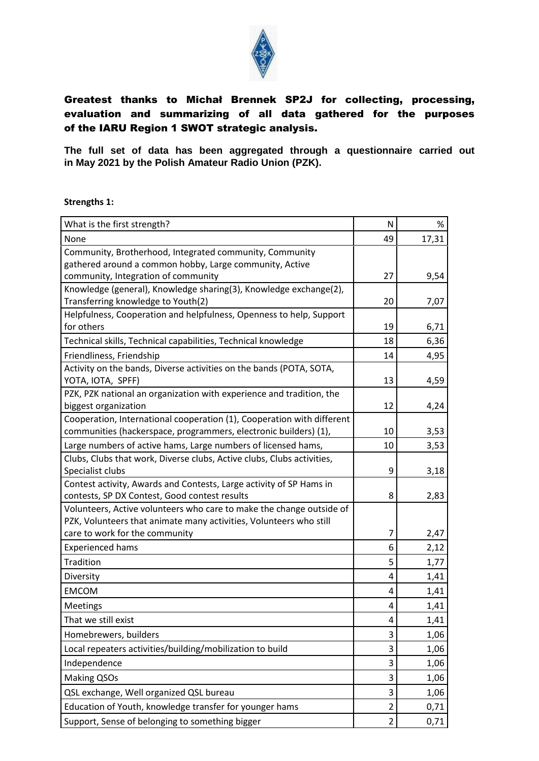

## Greatest thanks to Michał Brennek SP2J for collecting, processing, evaluation and summarizing of all data gathered for the purposes of the IARU Region 1 SWOT strategic analysis.

**The full set of data has been aggregated through a questionnaire carried out in May 2021 by the Polish Amateur Radio Union (PZK).**

**Strengths 1:**

| What is the first strength?                                                                                                                | N              | %     |
|--------------------------------------------------------------------------------------------------------------------------------------------|----------------|-------|
| None                                                                                                                                       | 49             | 17,31 |
| Community, Brotherhood, Integrated community, Community                                                                                    |                |       |
| gathered around a common hobby, Large community, Active                                                                                    |                |       |
| community, Integration of community                                                                                                        | 27             | 9,54  |
| Knowledge (general), Knowledge sharing(3), Knowledge exchange(2),                                                                          |                |       |
| Transferring knowledge to Youth(2)                                                                                                         | 20             | 7,07  |
| Helpfulness, Cooperation and helpfulness, Openness to help, Support                                                                        |                |       |
| for others                                                                                                                                 | 19             | 6,71  |
| Technical skills, Technical capabilities, Technical knowledge                                                                              | 18             | 6,36  |
| Friendliness, Friendship                                                                                                                   | 14             | 4,95  |
| Activity on the bands, Diverse activities on the bands (POTA, SOTA,                                                                        |                |       |
| YOTA, IOTA, SPFF)                                                                                                                          | 13             | 4,59  |
| PZK, PZK national an organization with experience and tradition, the                                                                       |                |       |
| biggest organization                                                                                                                       | 12             | 4,24  |
| Cooperation, International cooperation (1), Cooperation with different                                                                     |                |       |
| communities (hackerspace, programmers, electronic builders) (1),                                                                           | 10             | 3,53  |
| Large numbers of active hams, Large numbers of licensed hams,                                                                              | 10             | 3,53  |
| Clubs, Clubs that work, Diverse clubs, Active clubs, Clubs activities,                                                                     |                |       |
| Specialist clubs                                                                                                                           | 9              | 3,18  |
| Contest activity, Awards and Contests, Large activity of SP Hams in                                                                        |                |       |
| contests, SP DX Contest, Good contest results                                                                                              | 8              | 2,83  |
| Volunteers, Active volunteers who care to make the change outside of<br>PZK, Volunteers that animate many activities, Volunteers who still |                |       |
| care to work for the community                                                                                                             | 7              | 2,47  |
| <b>Experienced hams</b>                                                                                                                    | 6              | 2,12  |
| Tradition                                                                                                                                  | 5              | 1,77  |
| Diversity                                                                                                                                  | 4              | 1,41  |
| <b>EMCOM</b>                                                                                                                               | 4              | 1,41  |
| Meetings                                                                                                                                   | 4              | 1,41  |
| That we still exist                                                                                                                        |                | 1,41  |
| Homebrewers, builders                                                                                                                      | 3              | 1,06  |
| Local repeaters activities/building/mobilization to build                                                                                  | 3              | 1,06  |
| Independence                                                                                                                               | 3              | 1,06  |
| Making QSOs                                                                                                                                | 3              | 1,06  |
| QSL exchange, Well organized QSL bureau                                                                                                    | 3              | 1,06  |
| Education of Youth, knowledge transfer for younger hams                                                                                    | $\overline{2}$ | 0,71  |
| Support, Sense of belonging to something bigger                                                                                            | $\overline{2}$ | 0,71  |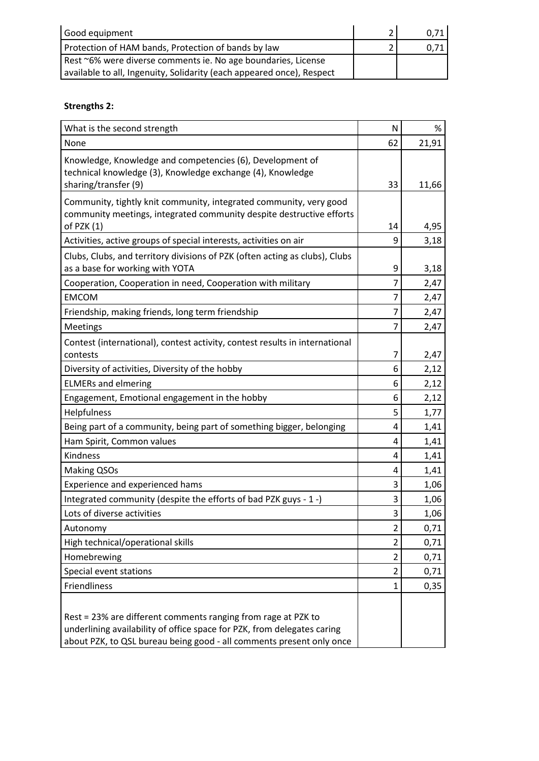| Good equipment                                                        | 0.71 |
|-----------------------------------------------------------------------|------|
| Protection of HAM bands, Protection of bands by law                   |      |
| Rest ~6% were diverse comments ie. No age boundaries, License         |      |
| available to all, Ingenuity, Solidarity (each appeared once), Respect |      |

## **Strengths 2:**

| What is the second strength                                                                                                                                                                                      | N              | %     |
|------------------------------------------------------------------------------------------------------------------------------------------------------------------------------------------------------------------|----------------|-------|
| None                                                                                                                                                                                                             | 62             | 21,91 |
| Knowledge, Knowledge and competencies (6), Development of<br>technical knowledge (3), Knowledge exchange (4), Knowledge<br>sharing/transfer (9)                                                                  | 33             | 11,66 |
| Community, tightly knit community, integrated community, very good<br>community meetings, integrated community despite destructive efforts                                                                       |                |       |
| of PZK (1)                                                                                                                                                                                                       | 14             | 4,95  |
| Activities, active groups of special interests, activities on air                                                                                                                                                | 9              | 3,18  |
| Clubs, Clubs, and territory divisions of PZK (often acting as clubs), Clubs<br>as a base for working with YOTA                                                                                                   | 9              | 3,18  |
| Cooperation, Cooperation in need, Cooperation with military                                                                                                                                                      | 7              | 2,47  |
| <b>EMCOM</b>                                                                                                                                                                                                     | 7              | 2,47  |
| Friendship, making friends, long term friendship                                                                                                                                                                 | 7              | 2,47  |
| <b>Meetings</b>                                                                                                                                                                                                  | 7              | 2,47  |
| Contest (international), contest activity, contest results in international<br>contests                                                                                                                          | 7              | 2,47  |
| Diversity of activities, Diversity of the hobby                                                                                                                                                                  | 6              | 2,12  |
| <b>ELMERs and elmering</b>                                                                                                                                                                                       | 6              | 2,12  |
| Engagement, Emotional engagement in the hobby                                                                                                                                                                    | 6              | 2,12  |
| Helpfulness                                                                                                                                                                                                      | 5              | 1,77  |
| Being part of a community, being part of something bigger, belonging                                                                                                                                             | 4              | 1,41  |
| Ham Spirit, Common values                                                                                                                                                                                        | 4              | 1,41  |
| Kindness                                                                                                                                                                                                         | 4              | 1,41  |
| <b>Making QSOs</b>                                                                                                                                                                                               | 4              | 1,41  |
| Experience and experienced hams                                                                                                                                                                                  | 3              | 1,06  |
| Integrated community (despite the efforts of bad PZK guys - 1 -)                                                                                                                                                 | 3              | 1,06  |
| Lots of diverse activities                                                                                                                                                                                       | 3              | 1,06  |
| Autonomy                                                                                                                                                                                                         | 2              | 0,71  |
| High technical/operational skills                                                                                                                                                                                | 2              | 0,71  |
| Homebrewing                                                                                                                                                                                                      | $\overline{2}$ | 0,71  |
| Special event stations                                                                                                                                                                                           | $\overline{2}$ | 0,71  |
| Friendliness                                                                                                                                                                                                     | 1              | 0,35  |
| Rest = 23% are different comments ranging from rage at PZK to<br>underlining availability of office space for PZK, from delegates caring<br>about PZK, to QSL bureau being good - all comments present only once |                |       |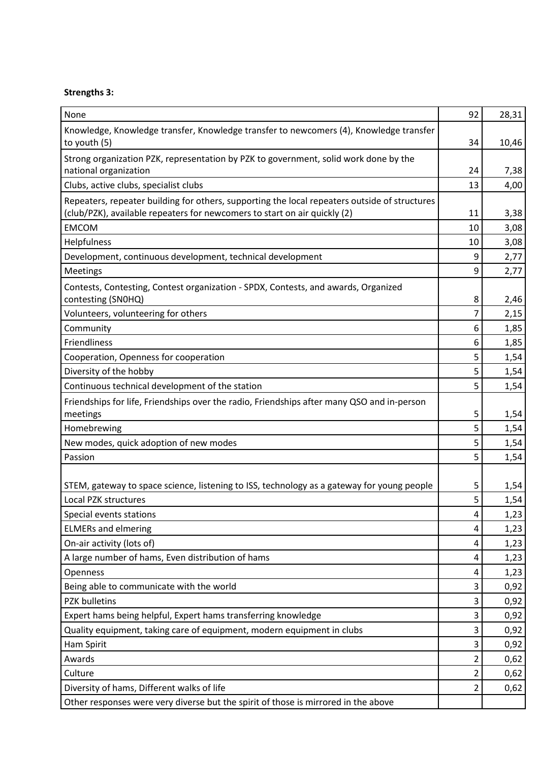## **Strengths 3:**

| None                                                                                                     | 92             | 28,31 |
|----------------------------------------------------------------------------------------------------------|----------------|-------|
| Knowledge, Knowledge transfer, Knowledge transfer to newcomers (4), Knowledge transfer                   |                |       |
| to youth (5)                                                                                             | 34             | 10,46 |
| Strong organization PZK, representation by PZK to government, solid work done by the                     |                |       |
| national organization                                                                                    | 24             | 7,38  |
| Clubs, active clubs, specialist clubs                                                                    | 13             | 4,00  |
| Repeaters, repeater building for others, supporting the local repeaters outside of structures            |                |       |
| (club/PZK), available repeaters for newcomers to start on air quickly (2)                                | 11             | 3,38  |
| <b>EMCOM</b>                                                                                             | 10             | 3,08  |
| Helpfulness                                                                                              | 10             | 3,08  |
| Development, continuous development, technical development                                               | 9              | 2,77  |
| Meetings                                                                                                 | 9              | 2,77  |
| Contests, Contesting, Contest organization - SPDX, Contests, and awards, Organized<br>contesting (SNOHQ) | 8              | 2,46  |
| Volunteers, volunteering for others                                                                      | $\overline{7}$ | 2,15  |
| Community                                                                                                | 6              | 1,85  |
| Friendliness                                                                                             | 6              | 1,85  |
| Cooperation, Openness for cooperation                                                                    | 5              | 1,54  |
| Diversity of the hobby                                                                                   | 5              | 1,54  |
| Continuous technical development of the station                                                          | 5              | 1,54  |
| Friendships for life, Friendships over the radio, Friendships after many QSO and in-person               |                |       |
| meetings                                                                                                 | 5              | 1,54  |
| Homebrewing                                                                                              | 5              | 1,54  |
| New modes, quick adoption of new modes                                                                   | 5              | 1,54  |
| Passion                                                                                                  | 5              | 1,54  |
|                                                                                                          |                |       |
| STEM, gateway to space science, listening to ISS, technology as a gateway for young people               | 5              | 1,54  |
| Local PZK structures                                                                                     | 5              | 1,54  |
| Special events stations                                                                                  | 4              | 1,23  |
| <b>ELMERs and elmering</b>                                                                               | 4              | 1,23  |
| On-air activity (lots of)                                                                                | 4              | 1,23  |
| A large number of hams, Even distribution of hams                                                        | 4              | 1,23  |
| Openness                                                                                                 | 4              | 1,23  |
| Being able to communicate with the world                                                                 | 3              | 0,92  |
| <b>PZK bulletins</b>                                                                                     | 3              | 0,92  |
| Expert hams being helpful, Expert hams transferring knowledge                                            | 3              | 0,92  |
| Quality equipment, taking care of equipment, modern equipment in clubs                                   | 3              | 0,92  |
| Ham Spirit                                                                                               | 3              | 0,92  |
| Awards                                                                                                   | 2              | 0,62  |
| Culture                                                                                                  | 2              | 0,62  |
| Diversity of hams, Different walks of life                                                               | 2              | 0,62  |
| Other responses were very diverse but the spirit of those is mirrored in the above                       |                |       |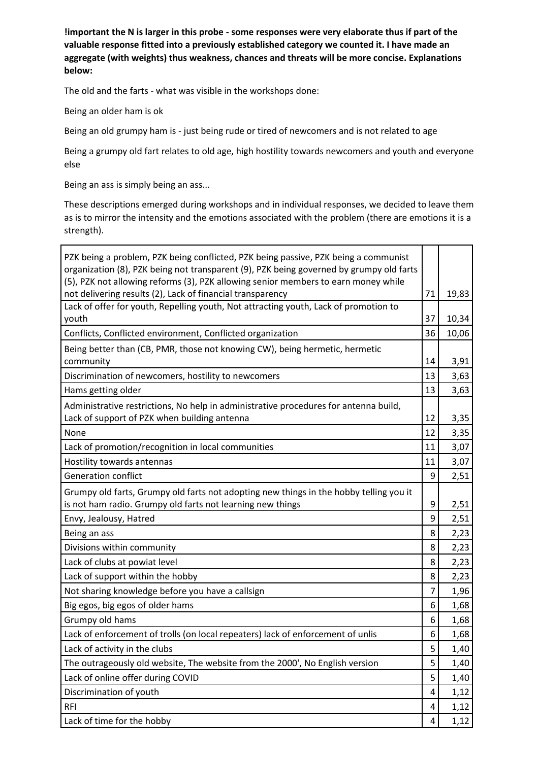**!important the N is larger in this probe - some responses were very elaborate thus if part of the valuable response fitted into a previously established category we counted it. I have made an aggregate (with weights) thus weakness, chances and threats will be more concise. Explanations below:**

The old and the farts - what was visible in the workshops done:

Being an older ham is ok

Being an old grumpy ham is - just being rude or tired of newcomers and is not related to age

Being a grumpy old fart relates to old age, high hostility towards newcomers and youth and everyone else

Being an ass is simply being an ass...

These descriptions emerged during workshops and in individual responses, we decided to leave them as is to mirror the intensity and the emotions associated with the problem (there are emotions it is a strength).

| PZK being a problem, PZK being conflicted, PZK being passive, PZK being a communist<br>organization (8), PZK being not transparent (9), PZK being governed by grumpy old farts |                |       |
|--------------------------------------------------------------------------------------------------------------------------------------------------------------------------------|----------------|-------|
| (5), PZK not allowing reforms (3), PZK allowing senior members to earn money while                                                                                             |                |       |
| not delivering results (2), Lack of financial transparency                                                                                                                     | 71             | 19,83 |
| Lack of offer for youth, Repelling youth, Not attracting youth, Lack of promotion to<br>youth                                                                                  | 37             | 10,34 |
| Conflicts, Conflicted environment, Conflicted organization                                                                                                                     | 36             | 10,06 |
|                                                                                                                                                                                |                |       |
| Being better than (CB, PMR, those not knowing CW), being hermetic, hermetic<br>community                                                                                       | 14             | 3,91  |
| Discrimination of newcomers, hostility to newcomers                                                                                                                            | 13             | 3,63  |
| Hams getting older                                                                                                                                                             | 13             | 3,63  |
| Administrative restrictions, No help in administrative procedures for antenna build,<br>Lack of support of PZK when building antenna                                           | 12             | 3,35  |
| None                                                                                                                                                                           | 12             | 3,35  |
| Lack of promotion/recognition in local communities                                                                                                                             | 11             | 3,07  |
| Hostility towards antennas                                                                                                                                                     | 11             | 3,07  |
| <b>Generation conflict</b>                                                                                                                                                     | 9              | 2,51  |
| Grumpy old farts, Grumpy old farts not adopting new things in the hobby telling you it                                                                                         |                |       |
| is not ham radio. Grumpy old farts not learning new things                                                                                                                     | 9              | 2,51  |
| Envy, Jealousy, Hatred                                                                                                                                                         | 9              | 2,51  |
| Being an ass                                                                                                                                                                   | 8              | 2,23  |
| Divisions within community                                                                                                                                                     | 8              | 2,23  |
| Lack of clubs at powiat level                                                                                                                                                  | 8              | 2,23  |
| Lack of support within the hobby                                                                                                                                               | 8              | 2,23  |
| Not sharing knowledge before you have a callsign                                                                                                                               | 7              | 1,96  |
| Big egos, big egos of older hams                                                                                                                                               | 6              | 1,68  |
| Grumpy old hams                                                                                                                                                                | 6              | 1,68  |
| Lack of enforcement of trolls (on local repeaters) lack of enforcement of unlis                                                                                                | 6              | 1,68  |
| Lack of activity in the clubs                                                                                                                                                  | 5              | 1,40  |
| The outrageously old website, The website from the 2000', No English version                                                                                                   | 5              | 1,40  |
| Lack of online offer during COVID                                                                                                                                              | 5              | 1,40  |
| Discrimination of youth                                                                                                                                                        | $\overline{4}$ | 1,12  |
| <b>RFI</b>                                                                                                                                                                     | 4              | 1,12  |
| Lack of time for the hobby                                                                                                                                                     | 4              | 1,12  |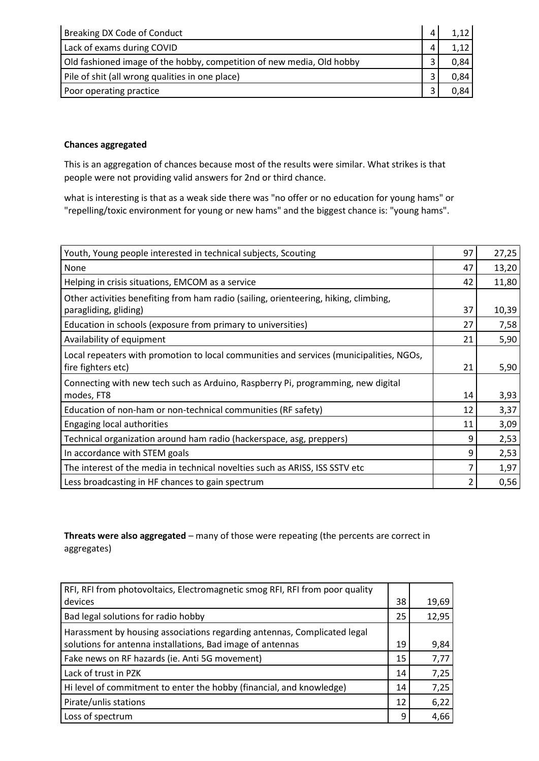| Breaking DX Code of Conduct                                           | 1,12 |
|-----------------------------------------------------------------------|------|
| Lack of exams during COVID                                            | 1,12 |
| Old fashioned image of the hobby, competition of new media, Old hobby | 0,84 |
| Pile of shit (all wrong qualities in one place)                       | 0,84 |
| Poor operating practice                                               | 0,84 |

## **Chances aggregated**

This is an aggregation of chances because most of the results were similar. What strikes is that people were not providing valid answers for 2nd or third chance.

what is interesting is that as a weak side there was "no offer or no education for young hams" or "repelling/toxic environment for young or new hams" and the biggest chance is: "young hams".

| Youth, Young people interested in technical subjects, Scouting                                                | 97 | 27,25 |
|---------------------------------------------------------------------------------------------------------------|----|-------|
| None                                                                                                          | 47 | 13,20 |
| Helping in crisis situations, EMCOM as a service                                                              | 42 | 11,80 |
| Other activities benefiting from ham radio (sailing, orienteering, hiking, climbing,                          |    |       |
| paragliding, gliding)                                                                                         | 37 | 10,39 |
| Education in schools (exposure from primary to universities)                                                  | 27 | 7,58  |
| Availability of equipment                                                                                     | 21 | 5,90  |
| Local repeaters with promotion to local communities and services (municipalities, NGOs,<br>fire fighters etc) | 21 | 5,90  |
| Connecting with new tech such as Arduino, Raspberry Pi, programming, new digital<br>modes, FT8                | 14 | 3,93  |
| Education of non-ham or non-technical communities (RF safety)                                                 | 12 | 3,37  |
| Engaging local authorities                                                                                    | 11 | 3,09  |
| Technical organization around ham radio (hackerspace, asg, preppers)                                          | 9  | 2,53  |
| In accordance with STEM goals                                                                                 | 9  | 2,53  |
| The interest of the media in technical novelties such as ARISS, ISS SSTV etc                                  |    | 1,97  |
| Less broadcasting in HF chances to gain spectrum                                                              |    | 0,56  |

**Threats were also aggregated** – many of those were repeating (the percents are correct in aggregates)

| RFI, RFI from photovoltaics, Electromagnetic smog RFI, RFI from poor quality |    |       |
|------------------------------------------------------------------------------|----|-------|
| devices                                                                      | 38 | 19,69 |
| Bad legal solutions for radio hobby                                          | 25 | 12,95 |
| Harassment by housing associations regarding antennas, Complicated legal     |    |       |
| solutions for antenna installations, Bad image of antennas                   | 19 | 9,84  |
| Fake news on RF hazards (ie. Anti 5G movement)                               | 15 | 7,77  |
| Lack of trust in PZK                                                         | 14 | 7,25  |
| Hi level of commitment to enter the hobby (financial, and knowledge)         | 14 | 7,25  |
| Pirate/unlis stations                                                        | 12 | 6,22  |
| Loss of spectrum                                                             | q  | 4,66  |